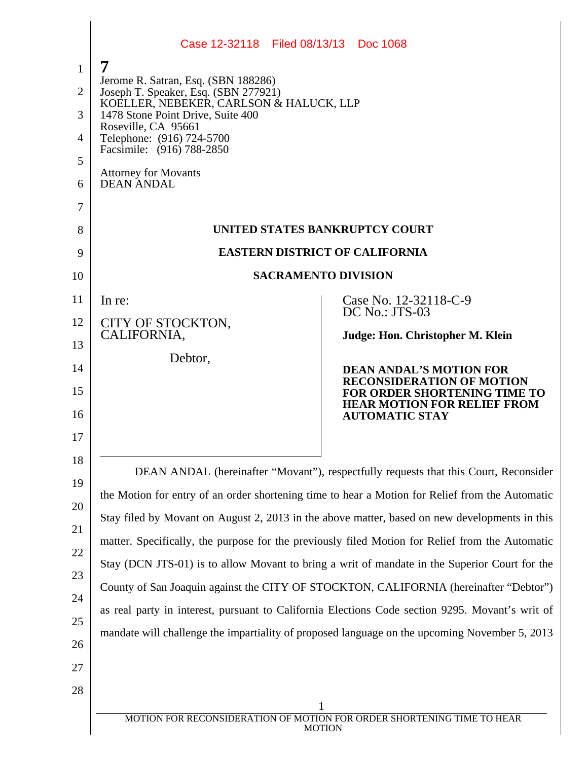|                | Case 12-32118 Filed 08/13/13 Doc 1068                                                           |                                                                                                 |  |
|----------------|-------------------------------------------------------------------------------------------------|-------------------------------------------------------------------------------------------------|--|
| $\mathbf{1}$   | 7                                                                                               |                                                                                                 |  |
| $\overline{2}$ | Jerome R. Satran, Esq. (SBN 188286)<br>Joseph T. Speaker, Esq. (SBN 277921)                     |                                                                                                 |  |
| 3              | KOELLER, NEBEKER, CARLSON & HALUCK, LLP<br>1478 Stone Point Drive, Suite 400                    |                                                                                                 |  |
| 4              | Roseville, CA 95661<br>Telephone: (916) 724-5700                                                |                                                                                                 |  |
| 5              | Facsimile: (916) 788-2850                                                                       |                                                                                                 |  |
| 6              | <b>Attorney for Movants</b><br><b>DEAN ANDAL</b>                                                |                                                                                                 |  |
| 7              |                                                                                                 |                                                                                                 |  |
| 8              | UNITED STATES BANKRUPTCY COURT                                                                  |                                                                                                 |  |
| 9              |                                                                                                 | <b>EASTERN DISTRICT OF CALIFORNIA</b>                                                           |  |
| 10             |                                                                                                 | <b>SACRAMENTO DIVISION</b>                                                                      |  |
| 11             | In re:                                                                                          | Case No. 12-32118-C-9<br>DC No.: JTS-03                                                         |  |
| 12             | CITY OF STOCKTON,<br>CALIFORNIA,                                                                | Judge: Hon. Christopher M. Klein                                                                |  |
| 13             | Debtor,                                                                                         |                                                                                                 |  |
| 14             |                                                                                                 | <b>DEAN ANDAL'S MOTION FOR</b><br><b>RECONSIDERATION OF MOTION</b>                              |  |
| 15<br>16       |                                                                                                 | FOR ORDER SHORTENING TIME TO<br><b>HEAR MOTION FOR RELIEF FROM</b><br><b>AUTOMATIC STAY</b>     |  |
| 17             |                                                                                                 |                                                                                                 |  |
| 18             |                                                                                                 |                                                                                                 |  |
| 19             |                                                                                                 | DEAN ANDAL (hereinafter "Movant"), respectfully requests that this Court, Reconsider            |  |
| 20             |                                                                                                 | the Motion for entry of an order shortening time to hear a Motion for Relief from the Automatic |  |
| 21             |                                                                                                 | Stay filed by Movant on August 2, 2013 in the above matter, based on new developments in this   |  |
| 22             | matter. Specifically, the purpose for the previously filed Motion for Relief from the Automatic |                                                                                                 |  |
| 23             | Stay (DCN JTS-01) is to allow Movant to bring a writ of mandate in the Superior Court for the   |                                                                                                 |  |
| 24             | County of San Joaquin against the CITY OF STOCKTON, CALIFORNIA (hereinafter "Debtor")           |                                                                                                 |  |
| 25             | as real party in interest, pursuant to California Elections Code section 9295. Movant's writ of |                                                                                                 |  |
| 26             | mandate will challenge the impartiality of proposed language on the upcoming November 5, 2013   |                                                                                                 |  |
| 27             |                                                                                                 |                                                                                                 |  |
| 28             |                                                                                                 |                                                                                                 |  |
|                |                                                                                                 | MOTION FOR RECONSIDERATION OF MOTION FOR ORDER SHORTENING TIME TO HEAR                          |  |
|                |                                                                                                 | <b>MOTION</b>                                                                                   |  |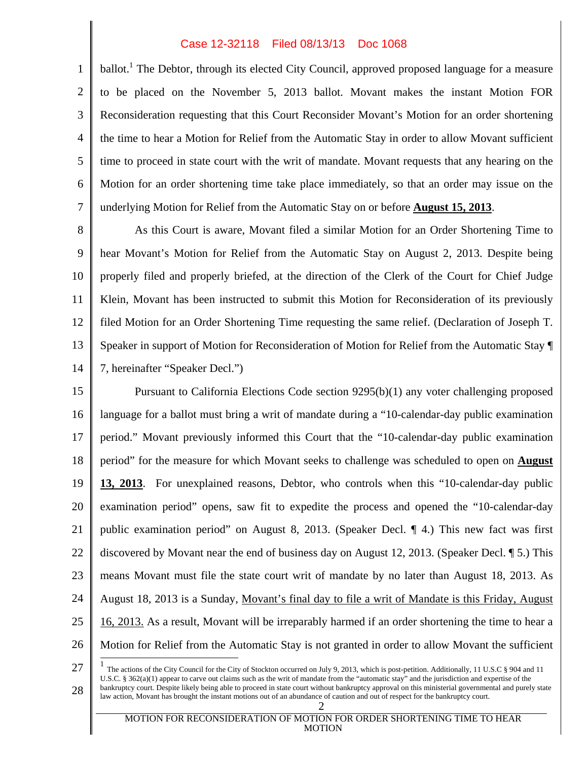## Case 12-32118 Filed 08/13/13 Doc 1068

1 2 3 4 5 6 7 ballot.<sup>1</sup> The Debtor, through its elected City Council, approved proposed language for a measure to be placed on the November 5, 2013 ballot. Movant makes the instant Motion FOR Reconsideration requesting that this Court Reconsider Movant's Motion for an order shortening the time to hear a Motion for Relief from the Automatic Stay in order to allow Movant sufficient time to proceed in state court with the writ of mandate. Movant requests that any hearing on the Motion for an order shortening time take place immediately, so that an order may issue on the underlying Motion for Relief from the Automatic Stay on or before **August 15, 2013**.

8 9 10 11 12 13 14 As this Court is aware, Movant filed a similar Motion for an Order Shortening Time to hear Movant's Motion for Relief from the Automatic Stay on August 2, 2013. Despite being properly filed and properly briefed, at the direction of the Clerk of the Court for Chief Judge Klein, Movant has been instructed to submit this Motion for Reconsideration of its previously filed Motion for an Order Shortening Time requesting the same relief. (Declaration of Joseph T. Speaker in support of Motion for Reconsideration of Motion for Relief from the Automatic Stay ¶ 7, hereinafter "Speaker Decl.")

15 16 17 18 19 20 21 22 23 24 25 26 Pursuant to California Elections Code section 9295(b)(1) any voter challenging proposed language for a ballot must bring a writ of mandate during a "10-calendar-day public examination period." Movant previously informed this Court that the "10-calendar-day public examination period" for the measure for which Movant seeks to challenge was scheduled to open on **August 13, 2013**. For unexplained reasons, Debtor, who controls when this "10-calendar-day public examination period" opens, saw fit to expedite the process and opened the "10-calendar-day public examination period" on August 8, 2013. (Speaker Decl. ¶ 4.) This new fact was first discovered by Movant near the end of business day on August 12, 2013. (Speaker Decl. ¶ 5.) This means Movant must file the state court writ of mandate by no later than August 18, 2013. As August 18, 2013 is a Sunday, Movant's final day to file a writ of Mandate is this Friday, August 16, 2013. As a result, Movant will be irreparably harmed if an order shortening the time to hear a Motion for Relief from the Automatic Stay is not granted in order to allow Movant the sufficient

 $\overline{1}$ 

<sup>27</sup> 

<sup>28</sup>  2 1 The actions of the City Council for the City of Stockton occurred on July 9, 2013, which is post-petition. Additionally, 11 U.S.C § 904 and 11 U.S.C. § 362(a)(1) appear to carve out claims such as the writ of mandate from the "automatic stay" and the jurisdiction and expertise of the bankruptcy court. Despite likely being able to proceed in state court without bankruptcy approval on this ministerial governmental and purely state law action, Movant has brought the instant motions out of an abundance of caution and out of respect for the bankruptcy court.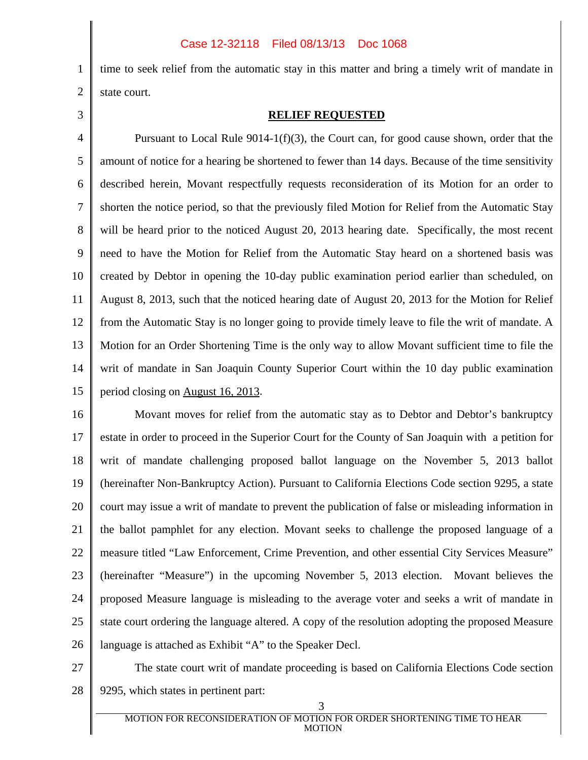## Case 12-32118 Filed 08/13/13 Doc 1068

time to seek relief from the automatic stay in this matter and bring a timely writ of mandate in state court.

3

1

2

## **RELIEF REQUESTED**

4 5 6 7 8 9 10 11 12 13 14 15 Pursuant to Local Rule 9014-1(f)(3), the Court can, for good cause shown, order that the amount of notice for a hearing be shortened to fewer than 14 days. Because of the time sensitivity described herein, Movant respectfully requests reconsideration of its Motion for an order to shorten the notice period, so that the previously filed Motion for Relief from the Automatic Stay will be heard prior to the noticed August 20, 2013 hearing date. Specifically, the most recent need to have the Motion for Relief from the Automatic Stay heard on a shortened basis was created by Debtor in opening the 10-day public examination period earlier than scheduled, on August 8, 2013, such that the noticed hearing date of August 20, 2013 for the Motion for Relief from the Automatic Stay is no longer going to provide timely leave to file the writ of mandate. A Motion for an Order Shortening Time is the only way to allow Movant sufficient time to file the writ of mandate in San Joaquin County Superior Court within the 10 day public examination period closing on August 16, 2013.

16 17 18 19 20 21 22 23 24 25 26 Movant moves for relief from the automatic stay as to Debtor and Debtor's bankruptcy estate in order to proceed in the Superior Court for the County of San Joaquin with a petition for writ of mandate challenging proposed ballot language on the November 5, 2013 ballot (hereinafter Non-Bankruptcy Action). Pursuant to California Elections Code section 9295, a state court may issue a writ of mandate to prevent the publication of false or misleading information in the ballot pamphlet for any election. Movant seeks to challenge the proposed language of a measure titled "Law Enforcement, Crime Prevention, and other essential City Services Measure" (hereinafter "Measure") in the upcoming November 5, 2013 election. Movant believes the proposed Measure language is misleading to the average voter and seeks a writ of mandate in state court ordering the language altered. A copy of the resolution adopting the proposed Measure language is attached as Exhibit "A" to the Speaker Decl.

27

28 The state court writ of mandate proceeding is based on California Elections Code section 9295, which states in pertinent part: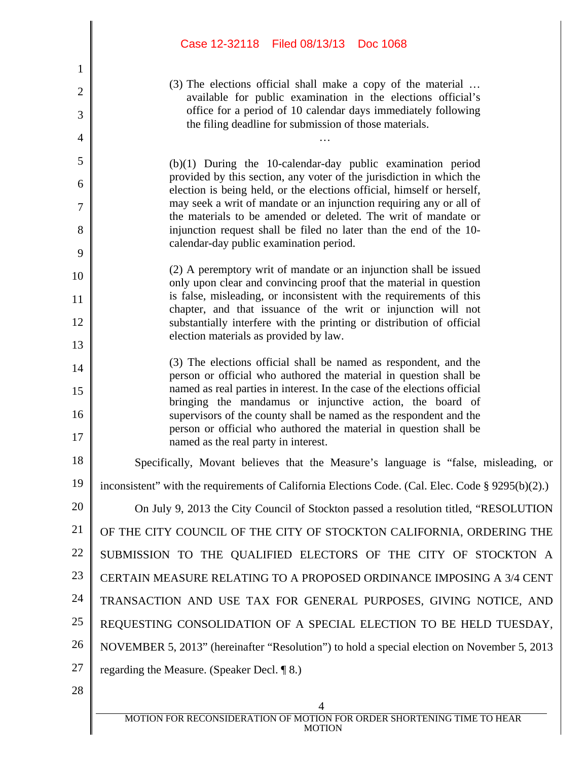|                | Case 12-32118 Filed 08/13/13 Doc 1068                                                                                                         |
|----------------|-----------------------------------------------------------------------------------------------------------------------------------------------|
| 1              |                                                                                                                                               |
| 2              | (3) The elections official shall make a copy of the material                                                                                  |
| 3              | available for public examination in the elections official's<br>office for a period of 10 calendar days immediately following                 |
| $\overline{4}$ | the filing deadline for submission of those materials.                                                                                        |
| 5              | $(b)(1)$ During the 10-calendar-day public examination period                                                                                 |
| 6              | provided by this section, any voter of the jurisdiction in which the                                                                          |
| 7              | election is being held, or the elections official, himself or herself,<br>may seek a writ of mandate or an injunction requiring any or all of |
| 8              | the materials to be amended or deleted. The writ of mandate or<br>injunction request shall be filed no later than the end of the 10-          |
| 9              | calendar-day public examination period.                                                                                                       |
| 10             | (2) A peremptory writ of mandate or an injunction shall be issued                                                                             |
| 11             | only upon clear and convincing proof that the material in question<br>is false, misleading, or inconsistent with the requirements of this     |
| 12             | chapter, and that issuance of the writ or injunction will not<br>substantially interfere with the printing or distribution of official        |
| 13             | election materials as provided by law.                                                                                                        |
| 14             | (3) The elections official shall be named as respondent, and the                                                                              |
| 15             | person or official who authored the material in question shall be<br>named as real parties in interest. In the case of the elections official |
| 16             | bringing the mandamus or injunctive action, the board of<br>supervisors of the county shall be named as the respondent and the                |
| 17             | person or official who authored the material in question shall be<br>named as the real party in interest.                                     |
| 18             | Specifically, Movant believes that the Measure's language is "false, misleading, or                                                           |
| 19             | inconsistent" with the requirements of California Elections Code. (Cal. Elec. Code § 9295(b)(2).)                                             |
| 20             | On July 9, 2013 the City Council of Stockton passed a resolution titled, "RESOLUTION                                                          |
| 21             | OF THE CITY COUNCIL OF THE CITY OF STOCKTON CALIFORNIA, ORDERING THE                                                                          |
| 22             | SUBMISSION TO THE QUALIFIED ELECTORS OF THE CITY OF STOCKTON A                                                                                |
| 23             | CERTAIN MEASURE RELATING TO A PROPOSED ORDINANCE IMPOSING A 3/4 CENT                                                                          |
| 24             | TRANSACTION AND USE TAX FOR GENERAL PURPOSES, GIVING NOTICE, AND                                                                              |
| 25             | REQUESTING CONSOLIDATION OF A SPECIAL ELECTION TO BE HELD TUESDAY,                                                                            |
| 26             | NOVEMBER 5, 2013" (hereinafter "Resolution") to hold a special election on November 5, 2013                                                   |
| 27             | regarding the Measure. (Speaker Decl. ¶ 8.)                                                                                                   |
| 28             |                                                                                                                                               |
|                | 4                                                                                                                                             |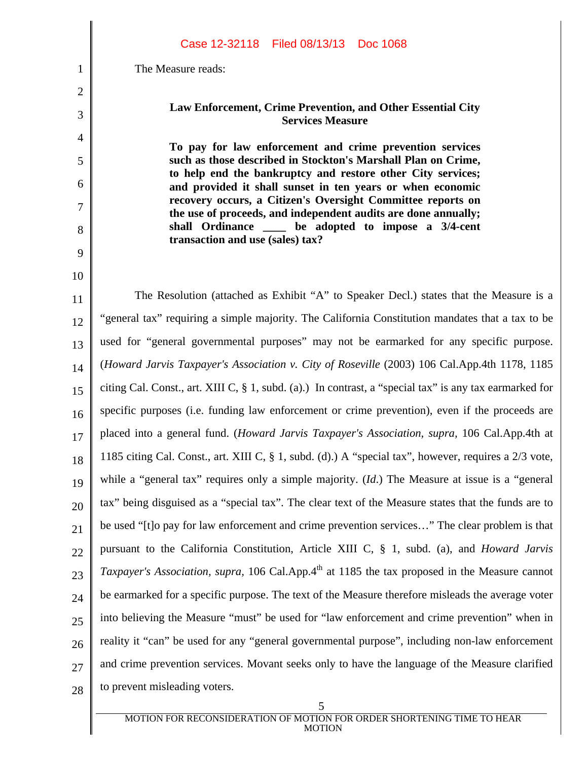1 2 3 4 5 6 7 8 9 10 11 12 13 14 15 16 17 18 19 20 21 22 23 24 25 26 27 28 5 The Measure reads: **Law Enforcement, Crime Prevention, and Other Essential City Services Measure To pay for law enforcement and crime prevention services such as those described in Stockton's Marshall Plan on Crime, to help end the bankruptcy and restore other City services; and provided it shall sunset in ten years or when economic recovery occurs, a Citizen's Oversight Committee reports on the use of proceeds, and independent audits are done annually; shall Ordinance \_\_\_\_ be adopted to impose a 3/4-cent transaction and use (sales) tax?**  The Resolution (attached as Exhibit "A" to Speaker Decl.) states that the Measure is a "general tax" requiring a simple majority. The California Constitution mandates that a tax to be used for "general governmental purposes" may not be earmarked for any specific purpose. (*Howard Jarvis Taxpayer's Association v. City of Roseville* (2003) 106 Cal.App.4th 1178, 1185 citing Cal. Const., art. XIII C, § 1, subd. (a).) In contrast, a "special tax" is any tax earmarked for specific purposes (i.e. funding law enforcement or crime prevention), even if the proceeds are placed into a general fund. (*Howard Jarvis Taxpayer's Association, supra,* 106 Cal.App.4th at 1185 citing Cal. Const., art. XIII C, § 1, subd. (d).) A "special tax", however, requires a 2/3 vote, while a "general tax" requires only a simple majority. (*Id*.) The Measure at issue is a "general tax" being disguised as a "special tax". The clear text of the Measure states that the funds are to be used "[t]o pay for law enforcement and crime prevention services…" The clear problem is that pursuant to the California Constitution, Article XIII C, § 1, subd. (a), and *Howard Jarvis Taxpayer's Association, supra,* 106 Cal.App.4<sup>th</sup> at 1185 the tax proposed in the Measure cannot be earmarked for a specific purpose. The text of the Measure therefore misleads the average voter into believing the Measure "must" be used for "law enforcement and crime prevention" when in reality it "can" be used for any "general governmental purpose", including non-law enforcement and crime prevention services. Movant seeks only to have the language of the Measure clarified to prevent misleading voters. Case 12-32118 Filed 08/13/13 Doc 1068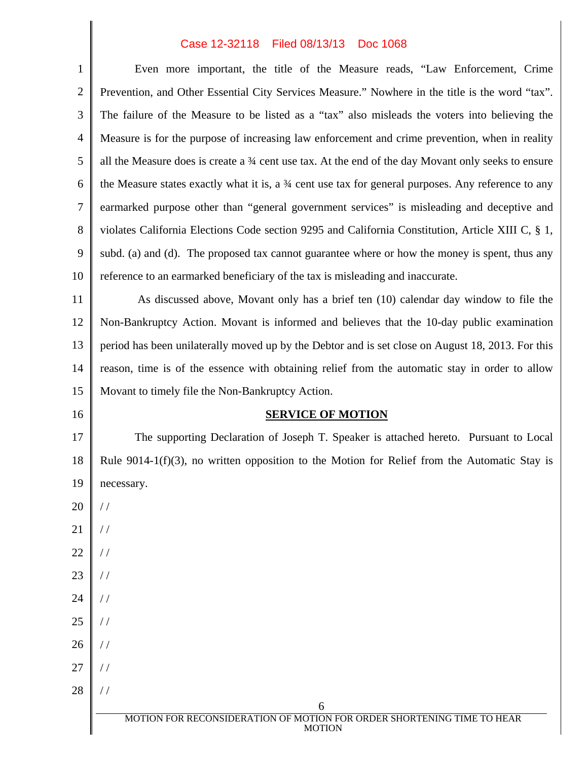## Case 12-32118 Filed 08/13/13 Doc 1068

| $\mathbf{1}$   | Even more important, the title of the Measure reads, "Law Enforcement, Crime                                   |
|----------------|----------------------------------------------------------------------------------------------------------------|
| $\overline{2}$ | Prevention, and Other Essential City Services Measure." Nowhere in the title is the word "tax".                |
| 3              | The failure of the Measure to be listed as a "tax" also misleads the voters into believing the                 |
| $\overline{4}$ | Measure is for the purpose of increasing law enforcement and crime prevention, when in reality                 |
| 5              | all the Measure does is create a 34 cent use tax. At the end of the day Movant only seeks to ensure            |
| 6              | the Measure states exactly what it is, a $\frac{3}{4}$ cent use tax for general purposes. Any reference to any |
| 7              | earmarked purpose other than "general government services" is misleading and deceptive and                     |
| 8              | violates California Elections Code section 9295 and California Constitution, Article XIII C, § 1,              |
| 9              | subd. (a) and (d). The proposed tax cannot guarantee where or how the money is spent, thus any                 |
| 10             | reference to an earmarked beneficiary of the tax is misleading and inaccurate.                                 |
| 11             | As discussed above, Movant only has a brief ten (10) calendar day window to file the                           |
| 12             | Non-Bankruptcy Action. Movant is informed and believes that the 10-day public examination                      |
| 13             | period has been unilaterally moved up by the Debtor and is set close on August 18, 2013. For this              |
| 14             | reason, time is of the essence with obtaining relief from the automatic stay in order to allow                 |
| 15             | Movant to timely file the Non-Bankruptcy Action.                                                               |
|                |                                                                                                                |
| 16             | <b>SERVICE OF MOTION</b>                                                                                       |
| 17             | The supporting Declaration of Joseph T. Speaker is attached hereto. Pursuant to Local                          |
| 18             | Rule $9014-1(f)(3)$ , no written opposition to the Motion for Relief from the Automatic Stay is                |
| 19             | necessary.                                                                                                     |
| 20             | $\frac{1}{2}$                                                                                                  |
| 21             | $\frac{1}{2}$                                                                                                  |
| 22             | $\frac{1}{2}$                                                                                                  |
| 23             | $\frac{1}{2}$                                                                                                  |
| 24             | $\frac{1}{2}$                                                                                                  |
| 25             | $\frac{1}{2}$                                                                                                  |
| 26             | $\frac{1}{2}$                                                                                                  |
| 27             | $\frac{1}{2}$                                                                                                  |
| 28             | $\frac{1}{2}$                                                                                                  |
|                | 6<br>MOTION FOR RECONSIDERATION OF MOTION FOR ORDER SHORTENING TIME TO HEAR                                    |